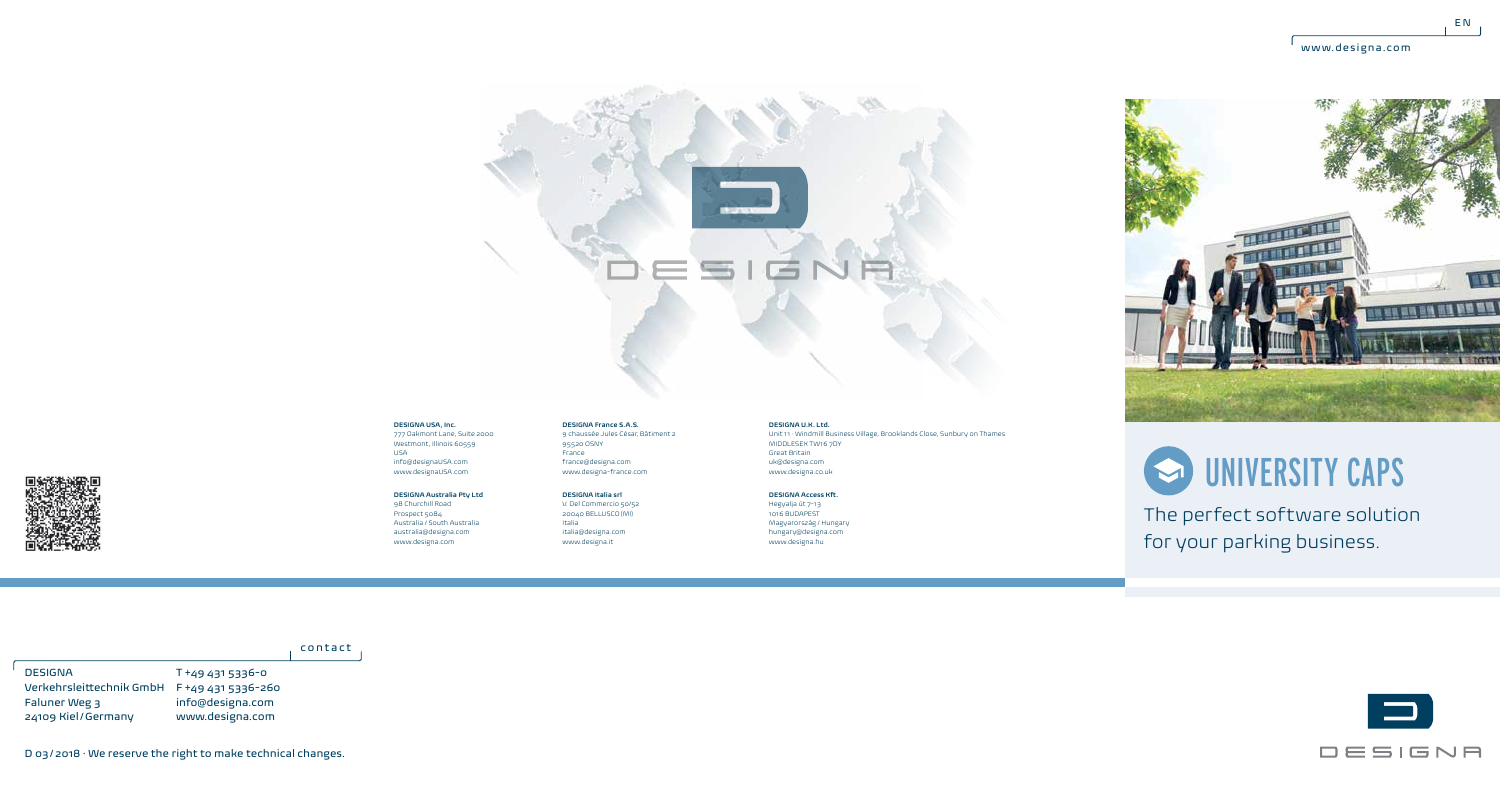$E N$ 







The perfect software solution for your parking business.



## **DESIGNA USA, Inc.** 777 Oakmont Lane, Suite 2000 Westmont, Illinois 60559 USA

info@designaUSA.com www.designaUSA.com

## **DESIGNA Australia Pty Ltd** 98 Churchill Road

Prospect 5084 Australia / South Australia australia@designa.com www.designa.com

france@designa.com www.designa-france.com **DESIGNA Italia srl** V. Del Commercio 50/52 20040 BELLUSCO (MI) Italia italia@designa.com

www.designa.it

 $95520$  OSNY France

**DESIGNA France S.A.S.** 9 chaussée Jules César, Bâtiment 2

**DESIGNA U.K. Ltd.** Unit 11 · Windmill Business Village, Brooklands Close, Sunbury on Thames MIDDLESEX TW16 7DY Great Britain uk@designa.com www.designa.co.uk

**DESIGNA Access Kft.** Hegyalja út 7-13 1016 BUDAPEST Magyarország / Hungary hungary@designa.com

www.designa.hu

contact

T +49 431 5336-0 Verkehrsleittechnik GmbH F +49 431 5336-260 info@designa.com www.designa.com DESIGNA Faluner Weg 3 24109 Kiel/Germany



D 03/2018 · We reserve the right to make technical changes.